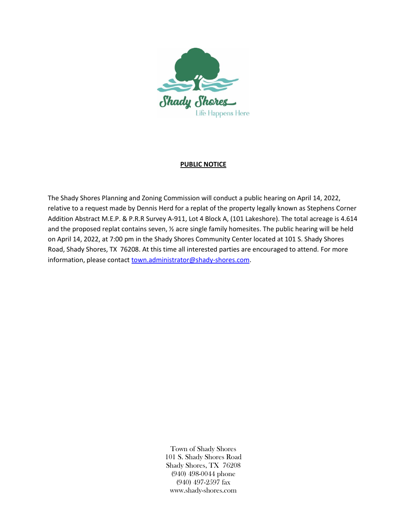

## **PUBLIC NOTICE**

The Shady Shores Planning and Zoning Commission will conduct a public hearing on April 14, 2022, relative to a request made by Dennis Herd for a replat of the property legally known as Stephens Corner Addition Abstract M.E.P. & P.R.R Survey A-911, Lot 4 Block A, (101 Lakeshore). The total acreage is 4.614 and the proposed replat contains seven, ½ acre single family homesites. The public hearing will be held on April 14, 2022, at 7:00 pm in the Shady Shores Community Center located at 101 S. Shady Shores Road, Shady Shores, TX 76208. At this time all interested parties are encouraged to attend. For more information, please contac[t town.administrator@shady-shores.com.](mailto:town.administrator@shady-shores.com)

> Town of Shady Shores 101 S. Shady Shores Road Shady Shores, TX 76208 (940) 498-0044 phone (940) 497-2597 fax www.shady-shores.com